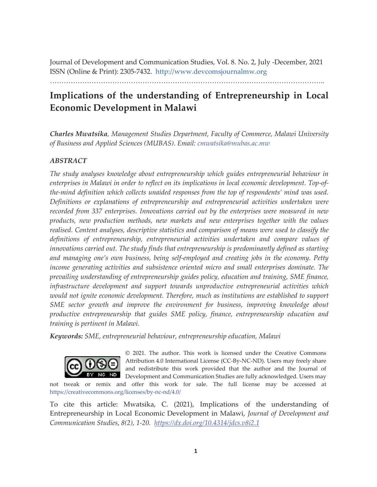Journal of Development and Communication Studies, Vol. 8. No. 2, July -December, 2021 ISSN (Online & Print): 2305-7432. http://www.devcomsjournalmw.org

………………………………………………………………………………………………………..

# **Implications of the understanding of Entrepreneurship in Local Economic Development in Malawi**

*Charles Mwatsika, Management Studies Department, Faculty of Commerce, Malawi University of Business and Applied Sciences (MUBAS). Email: cmwatsika@mubas.ac.mw*

# *ABSTRACT*

*The study analyses knowledge about entrepreneurship which guides entrepreneurial behaviour in enterprises in Malawi in order to reflect on its implications in local economic development. Top-ofthe-mind definition which collects unaided responses from the top of respondents' mind was used. Definitions or explanations of entrepreneurship and entrepreneurial activities undertaken were recorded from 337 enterprises. Innovations carried out by the enterprises were measured in new products, new production methods, new markets and new enterprises together with the values realised. Content analyses, descriptive statistics and comparison of means were used to classify the definitions of entrepreneurship, entrepreneurial activities undertaken and compare values of innovations carried out. The study finds that entrepreneurship is predominantly defined as starting and managing one's own business, being self-employed and creating jobs in the economy. Petty income generating activities and subsistence oriented micro and small enterprises dominate. The prevailing understanding of entrepreneurship guides policy, education and training, SME finance, infrastructure development and support towards unproductive entrepreneurial activities which would not ignite economic development. Therefore, much as institutions are established to support*  SME sector growth and improve the environment for business, improving knowledge about *productive entrepreneurship that guides SME policy, finance, entrepreneurship education and training is pertinent in Malawi.* 

*Keywords: SME, entrepreneurial behaviour, entrepreneurship education, Malawi*



© 2021. The author. This work is licensed under the Creative Commons Attribution 4.0 International License (CC-By-NC-ND). Users may freely share and redistribute this work provided that the author and the Journal of Development and Communication Studies are fully acknowledged. Users may

not tweak or remix and offer this work for sale. The full license may be accessed at https://creativecommons.org/licenses/by-nc-nd/4.0/

To cite this article: Mwatsika, C. (2021), Implications of the understanding of Entrepreneurship in Local Economic Development in Malawi, *Journal of Development and Communication Studies*, *8(2), 1-20. https://dx.doi.org/10.4314/jdcs.v8i2.1*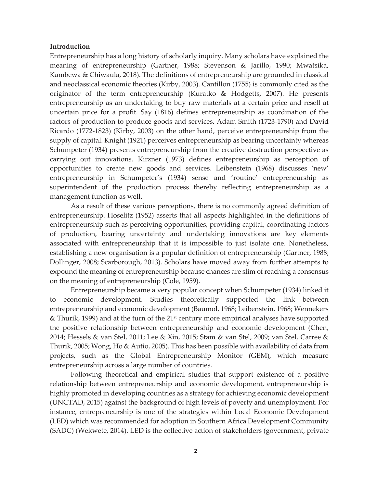## **Introduction**

Entrepreneurship has a long history of scholarly inquiry. Many scholars have explained the meaning of entrepreneurship (Gartner, 1988; Stevenson & Jarillo, 1990; Mwatsika, Kambewa & Chiwaula, 2018). The definitions of entrepreneurship are grounded in classical and neoclassical economic theories (Kirby, 2003). Cantillon (1755) is commonly cited as the originator of the term entrepreneurship (Kuratko & Hodgetts, 2007). He presents entrepreneurship as an undertaking to buy raw materials at a certain price and resell at uncertain price for a profit. Say (1816) defines entrepreneurship as coordination of the factors of production to produce goods and services. Adam Smith (1723-1790) and David Ricardo (1772-1823) (Kirby, 2003) on the other hand, perceive entrepreneurship from the supply of capital. Knight (1921) perceives entrepreneurship as bearing uncertainty whereas Schumpeter (1934) presents entrepreneurship from the creative destruction perspective as carrying out innovations. Kirzner (1973) defines entrepreneurship as perception of opportunities to create new goods and services. Leibenstein (1968) discusses 'new' entrepreneurship in Schumpeter's (1934) sense and 'routine' entrepreneurship as superintendent of the production process thereby reflecting entrepreneurship as a management function as well.

As a result of these various perceptions, there is no commonly agreed definition of entrepreneurship. Hoselitz (1952) asserts that all aspects highlighted in the definitions of entrepreneurship such as perceiving opportunities, providing capital, coordinating factors of production, bearing uncertainty and undertaking innovations are key elements associated with entrepreneurship that it is impossible to just isolate one. Nonetheless, establishing a new organisation is a popular definition of entrepreneurship (Gartner, 1988; Dollinger, 2008; Scarborough, 2013). Scholars have moved away from further attempts to expound the meaning of entrepreneurship because chances are slim of reaching a consensus on the meaning of entrepreneurship (Cole, 1959).

Entrepreneurship became a very popular concept when Schumpeter (1934) linked it to economic development. Studies theoretically supported the link between entrepreneurship and economic development (Baumol, 1968; Leibenstein, 1968; Wennekers & Thurik, 1999) and at the turn of the  $21<sup>st</sup>$  century more empirical analyses have supported the positive relationship between entrepreneurship and economic development (Chen, 2014; Hessels & van Stel, 2011; Lee & Xin, 2015; Stam & van Stel, 2009; van Stel, Carree & Thurik, 2005; Wong, Ho & Autio, 2005). This has been possible with availability of data from projects, such as the Global Entrepreneurship Monitor (GEM), which measure entrepreneurship across a large number of countries.

Following theoretical and empirical studies that support existence of a positive relationship between entrepreneurship and economic development, entrepreneurship is highly promoted in developing countries as a strategy for achieving economic development (UNCTAD, 2015) against the background of high levels of poverty and unemployment. For instance, entrepreneurship is one of the strategies within Local Economic Development (LED) which was recommended for adoption in Southern Africa Development Community (SADC) (Wekwete, 2014). LED is the collective action of stakeholders (government, private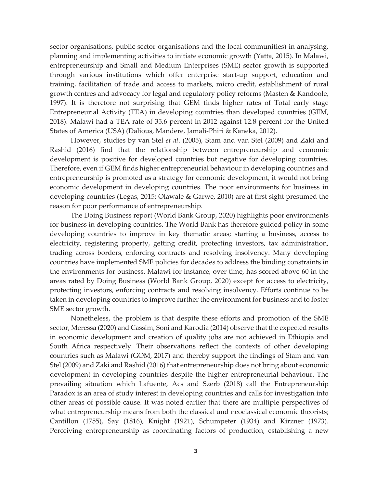sector organisations, public sector organisations and the local communities) in analysing, planning and implementing activities to initiate economic growth (Yatta, 2015). In Malawi, entrepreneurship and Small and Medium Enterprises (SME) sector growth is supported through various institutions which offer enterprise start-up support, education and training, facilitation of trade and access to markets, micro credit, establishment of rural growth centres and advocacy for legal and regulatory policy reforms (Masten & Kandoole, 1997). It is therefore not surprising that GEM finds higher rates of Total early stage Entrepreneurial Activity (TEA) in developing countries than developed countries (GEM, 2018). Malawi had a TEA rate of 35.6 percent in 2012 against 12.8 percent for the United States of America (USA) (Dalious, Mandere, Jamali-Phiri & Kaneka, 2012).

However, studies by van Stel *et al*. (2005), Stam and van Stel (2009) and Zaki and Rashid (2016) find that the relationship between entrepreneurship and economic development is positive for developed countries but negative for developing countries. Therefore, even if GEM finds higher entrepreneurial behaviour in developing countries and entrepreneurship is promoted as a strategy for economic development, it would not bring economic development in developing countries. The poor environments for business in developing countries (Legas, 2015; Olawale & Garwe, 2010) are at first sight presumed the reason for poor performance of entrepreneurship.

The Doing Business report (World Bank Group, 2020) highlights poor environments for business in developing countries. The World Bank has therefore guided policy in some developing countries to improve in key thematic areas; starting a business, access to electricity, registering property, getting credit, protecting investors, tax administration, trading across borders, enforcing contracts and resolving insolvency. Many developing countries have implemented SME policies for decades to address the binding constraints in the environments for business. Malawi for instance, over time, has scored above 60 in the areas rated by Doing Business (World Bank Group, 2020) except for access to electricity, protecting investors, enforcing contracts and resolving insolvency. Efforts continue to be taken in developing countries to improve further the environment for business and to foster SME sector growth.

Nonetheless, the problem is that despite these efforts and promotion of the SME sector, Meressa (2020) and Cassim, Soni and Karodia (2014) observe that the expected results in economic development and creation of quality jobs are not achieved in Ethiopia and South Africa respectively. Their observations reflect the contexts of other developing countries such as Malawi (GOM, 2017) and thereby support the findings of Stam and van Stel (2009) and Zaki and Rashid (2016) that entrepreneurship does not bring about economic development in developing countries despite the higher entrepreneurial behaviour. The prevailing situation which Lafuente, Acs and Szerb (2018) call the Entrepreneurship Paradox is an area of study interest in developing countries and calls for investigation into other areas of possible cause. It was noted earlier that there are multiple perspectives of what entrepreneurship means from both the classical and neoclassical economic theorists; Cantillon (1755), Say (1816), Knight (1921), Schumpeter (1934) and Kirzner (1973). Perceiving entrepreneurship as coordinating factors of production, establishing a new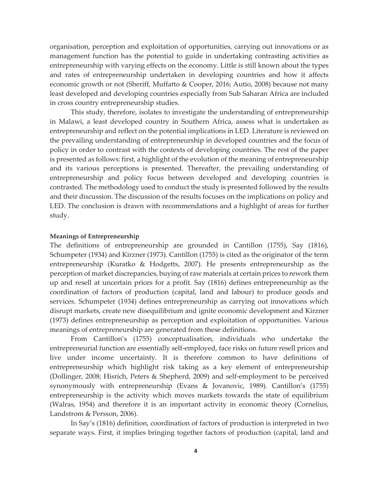organisation, perception and exploitation of opportunities, carrying out innovations or as management function has the potential to guide in undertaking contrasting activities as entrepreneurship with varying effects on the economy. Little is still known about the types and rates of entrepreneurship undertaken in developing countries and how it affects economic growth or not (Sheriff, Muffatto & Cooper, 2016; Autio, 2008) because not many least developed and developing countries especially from Sub Saharan Africa are included in cross country entrepreneurship studies.

This study, therefore, isolates to investigate the understanding of entrepreneurship in Malawi, a least developed country in Southern Africa, assess what is undertaken as entrepreneurship and reflect on the potential implications in LED. Literature is reviewed on the prevailing understanding of entrepreneurship in developed countries and the focus of policy in order to contrast with the contexts of developing countries. The rest of the paper is presented as follows: first, a highlight of the evolution of the meaning of entrepreneurship and its various perceptions is presented. Thereafter, the prevailing understanding of entrepreneurship and policy focus between developed and developing countries is contrasted. The methodology used to conduct the study is presented followed by the results and their discussion. The discussion of the results focuses on the implications on policy and LED. The conclusion is drawn with recommendations and a highlight of areas for further study.

### **Meanings of Entrepreneurship**

The definitions of entrepreneurship are grounded in Cantillon (1755), Say (1816), Schumpeter (1934) and Kirzner (1973). Cantillon (1755) is cited as the originator of the term entrepreneurship (Kuratko & Hodgetts, 2007). He presents entrepreneurship as the perception of market discrepancies, buying of raw materials at certain prices to rework them up and resell at uncertain prices for a profit. Say (1816) defines entrepreneurship as the coordination of factors of production (capital, land and labour) to produce goods and services. Schumpeter (1934) defines entrepreneurship as carrying out innovations which disrupt markets, create new disequilibrium and ignite economic development and Kirzner (1973) defines entrepreneurship as perception and exploitation of opportunities. Various meanings of entrepreneurship are generated from these definitions.

From Cantillon's (1755) conceptualisation, individuals who undertake the entrepreneurial function are essentially self-employed, face risks on future resell prices and live under income uncertainty. It is therefore common to have definitions of entrepreneurship which highlight risk taking as a key element of entrepreneurship (Dollinger, 2008; Hisrich, Peters & Shepherd, 2009) and self-employment to be perceived synonymously with entrepreneurship (Evans & Jovanovic, 1989). Cantillon's (1755) entrepreneurship is the activity which moves markets towards the state of equilibrium (Walras, 1954) and therefore it is an important activity in economic theory (Cornelius, Landstrom & Persson, 2006).

In Say's (1816) definition, coordination of factors of production is interpreted in two separate ways. First, it implies bringing together factors of production (capital, land and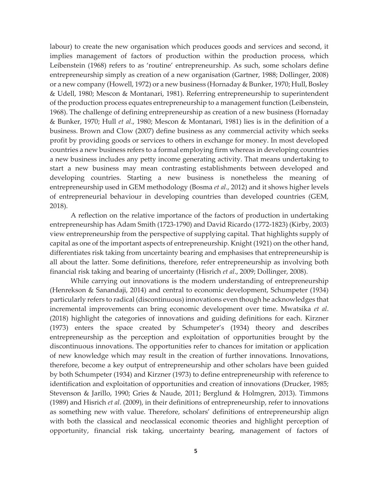labour) to create the new organisation which produces goods and services and second, it implies management of factors of production within the production process, which Leibenstein (1968) refers to as 'routine' entrepreneurship. As such, some scholars define entrepreneurship simply as creation of a new organisation (Gartner, 1988; Dollinger, 2008) or a new company (Howell, 1972) or a new business (Hornaday & Bunker, 1970; Hull, Bosley & Udell, 1980; Mescon & Montanari, 1981). Referring entrepreneurship to superintendent of the production process equates entrepreneurship to a management function (Leibenstein, 1968). The challenge of defining entrepreneurship as creation of a new business (Hornaday & Bunker, 1970; Hull *et al*., 1980; Mescon & Montanari, 1981) lies is in the definition of a business. Brown and Clow (2007) define business as any commercial activity which seeks profit by providing goods or services to others in exchange for money. In most developed countries a new business refers to a formal employing firm whereas in developing countries a new business includes any petty income generating activity. That means undertaking to start a new business may mean contrasting establishments between developed and developing countries. Starting a new business is nonetheless the meaning of entrepreneurship used in GEM methodology (Bosma *et al*., 2012) and it shows higher levels of entrepreneurial behaviour in developing countries than developed countries (GEM, 2018).

A reflection on the relative importance of the factors of production in undertaking entrepreneurship has Adam Smith (1723-1790) and David Ricardo (1772-1823) (Kirby, 2003) view entrepreneurship from the perspective of supplying capital. That highlights supply of capital as one of the important aspects of entrepreneurship. Knight (1921) on the other hand, differentiates risk taking from uncertainty bearing and emphasises that entrepreneurship is all about the latter. Some definitions, therefore, refer entrepreneurship as involving both financial risk taking and bearing of uncertainty (Hisrich *et al*., 2009; Dollinger, 2008).

While carrying out innovations is the modern understanding of entrepreneurship (Henrekson & Sanandaji, 2014) and central to economic development, Schumpeter (1934) particularly refers to radical (discontinuous) innovations even though he acknowledges that incremental improvements can bring economic development over time. Mwatsika *et al*. (2018) highlight the categories of innovations and guiding definitions for each. Kirzner (1973) enters the space created by Schumpeter's (1934) theory and describes entrepreneurship as the perception and exploitation of opportunities brought by the discontinuous innovations. The opportunities refer to chances for imitation or application of new knowledge which may result in the creation of further innovations. Innovations, therefore, become a key output of entrepreneurship and other scholars have been guided by both Schumpeter (1934) and Kirzner (1973) to define entrepreneurship with reference to identification and exploitation of opportunities and creation of innovations (Drucker, 1985; Stevenson & Jarillo, 1990; Gries & Naude, 2011; Berglund & Holmgren, 2013). Timmons (1989) and Hisrich *et al*. (2009), in their definitions of entrepreneurship, refer to innovations as something new with value. Therefore, scholars' definitions of entrepreneurship align with both the classical and neoclassical economic theories and highlight perception of opportunity, financial risk taking, uncertainty bearing, management of factors of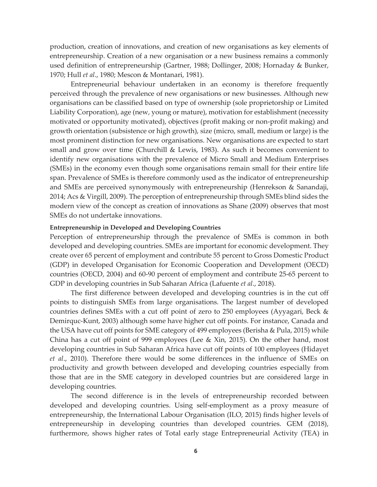production, creation of innovations, and creation of new organisations as key elements of entrepreneurship. Creation of a new organisation or a new business remains a commonly used definition of entrepreneurship (Gartner, 1988; Dollinger, 2008; Hornaday & Bunker, 1970; Hull *et al*., 1980; Mescon & Montanari, 1981).

Entrepreneurial behaviour undertaken in an economy is therefore frequently perceived through the prevalence of new organisations or new businesses. Although new organisations can be classified based on type of ownership (sole proprietorship or Limited Liability Corporation), age (new, young or mature), motivation for establishment (necessity motivated or opportunity motivated), objectives (profit making or non-profit making) and growth orientation (subsistence or high growth), size (micro, small, medium or large) is the most prominent distinction for new organisations. New organisations are expected to start small and grow over time (Churchill & Lewis, 1983). As such it becomes convenient to identify new organisations with the prevalence of Micro Small and Medium Enterprises (SMEs) in the economy even though some organisations remain small for their entire life span. Prevalence of SMEs is therefore commonly used as the indicator of entrepreneurship and SMEs are perceived synonymously with entrepreneurship (Henrekson & Sanandaji, 2014; Acs & Virgill, 2009). The perception of entrepreneurship through SMEs blind sides the modern view of the concept as creation of innovations as Shane (2009) observes that most SMEs do not undertake innovations.

### **Entrepreneurship in Developed and Developing Countries**

Perception of entrepreneurship through the prevalence of SMEs is common in both developed and developing countries. SMEs are important for economic development. They create over 65 percent of employment and contribute 55 percent to Gross Domestic Product (GDP) in developed Organisation for Economic Cooperation and Development (OECD) countries (OECD, 2004) and 60-90 percent of employment and contribute 25-65 percent to GDP in developing countries in Sub Saharan Africa (Lafuente *et al*., 2018).

The first difference between developed and developing countries is in the cut off points to distinguish SMEs from large organisations. The largest number of developed countries defines SMEs with a cut off point of zero to 250 employees (Ayyagari, Beck & Demirquc-Kunt, 2003) although some have higher cut off points. For instance, Canada and the USA have cut off points for SME category of 499 employees (Berisha & Pula, 2015) while China has a cut off point of 999 employees (Lee & Xin, 2015). On the other hand, most developing countries in Sub Saharan Africa have cut off points of 100 employees (Hidayet *et al*., 2010). Therefore there would be some differences in the influence of SMEs on productivity and growth between developed and developing countries especially from those that are in the SME category in developed countries but are considered large in developing countries.

The second difference is in the levels of entrepreneurship recorded between developed and developing countries. Using self-employment as a proxy measure of entrepreneurship, the International Labour Organisation (ILO, 2015) finds higher levels of entrepreneurship in developing countries than developed countries. GEM (2018), furthermore, shows higher rates of Total early stage Entrepreneurial Activity (TEA) in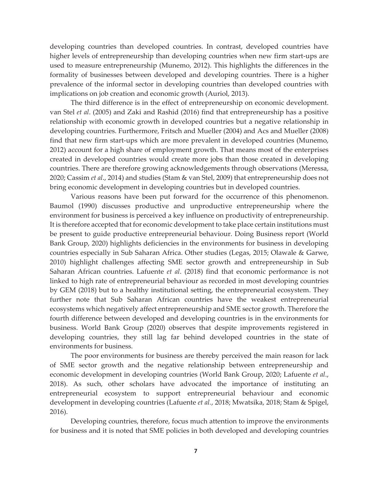developing countries than developed countries. In contrast, developed countries have higher levels of entrepreneurship than developing countries when new firm start-ups are used to measure entrepreneurship (Munemo, 2012). This highlights the differences in the formality of businesses between developed and developing countries. There is a higher prevalence of the informal sector in developing countries than developed countries with implications on job creation and economic growth (Auriol, 2013).

The third difference is in the effect of entrepreneurship on economic development. van Stel *et al*. (2005) and Zaki and Rashid (2016) find that entrepreneurship has a positive relationship with economic growth in developed countries but a negative relationship in developing countries. Furthermore, Fritsch and Mueller (2004) and Acs and Mueller (2008) find that new firm start-ups which are more prevalent in developed countries (Munemo, 2012) account for a high share of employment growth. That means most of the enterprises created in developed countries would create more jobs than those created in developing countries. There are therefore growing acknowledgements through observations (Meressa, 2020; Cassim *et al*., 2014) and studies (Stam & van Stel, 2009) that entrepreneurship does not bring economic development in developing countries but in developed countries.

Various reasons have been put forward for the occurrence of this phenomenon. Baumol (1990) discusses productive and unproductive entrepreneurship where the environment for business is perceived a key influence on productivity of entrepreneurship. It is therefore accepted that for economic development to take place certain institutions must be present to guide productive entrepreneurial behaviour. Doing Business report (World Bank Group, 2020) highlights deficiencies in the environments for business in developing countries especially in Sub Saharan Africa. Other studies (Legas, 2015; Olawale & Garwe, 2010) highlight challenges affecting SME sector growth and entrepreneurship in Sub Saharan African countries. Lafuente *et al*. (2018) find that economic performance is not linked to high rate of entrepreneurial behaviour as recorded in most developing countries by GEM (2018) but to a healthy institutional setting, the entrepreneurial ecosystem. They further note that Sub Saharan African countries have the weakest entrepreneurial ecosystems which negatively affect entrepreneurship and SME sector growth. Therefore the fourth difference between developed and developing countries is in the environments for business. World Bank Group (2020) observes that despite improvements registered in developing countries, they still lag far behind developed countries in the state of environments for business.

The poor environments for business are thereby perceived the main reason for lack of SME sector growth and the negative relationship between entrepreneurship and economic development in developing countries (World Bank Group, 2020; Lafuente *et al*., 2018). As such, other scholars have advocated the importance of instituting an entrepreneurial ecosystem to support entrepreneurial behaviour and economic development in developing countries (Lafuente *et al.*, 2018; Mwatsika, 2018; Stam & Spigel, 2016).

Developing countries, therefore, focus much attention to improve the environments for business and it is noted that SME policies in both developed and developing countries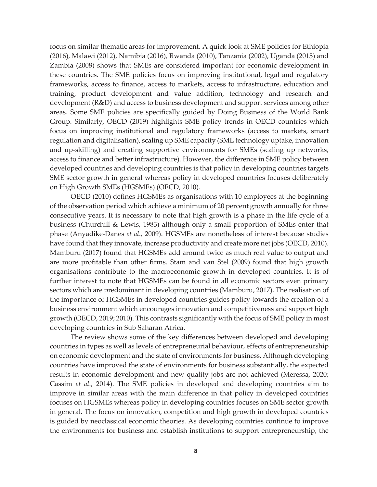focus on similar thematic areas for improvement. A quick look at SME policies for Ethiopia (2016), Malawi (2012), Namibia (2016), Rwanda (2010), Tanzania (2002), Uganda (2015) and Zambia (2008) shows that SMEs are considered important for economic development in these countries. The SME policies focus on improving institutional, legal and regulatory frameworks, access to finance, access to markets, access to infrastructure, education and training, product development and value addition, technology and research and development (R&D) and access to business development and support services among other areas. Some SME policies are specifically guided by Doing Business of the World Bank Group. Similarly, OECD (2019) highlights SME policy trends in OECD countries which focus on improving institutional and regulatory frameworks (access to markets, smart regulation and digitalisation), scaling up SME capacity (SME technology uptake, innovation and up-skilling) and creating supportive environments for SMEs (scaling up networks, access to finance and better infrastructure). However, the difference in SME policy between developed countries and developing countries is that policy in developing countries targets SME sector growth in general whereas policy in developed countries focuses deliberately on High Growth SMEs (HGSMEs) (OECD, 2010).

OECD (2010) defines HGSMEs as organisations with 10 employees at the beginning of the observation period which achieve a minimum of 20 percent growth annually for three consecutive years. It is necessary to note that high growth is a phase in the life cycle of a business (Churchill & Lewis, 1983) although only a small proportion of SMEs enter that phase (Anyadike-Danes *et al*., 2009). HGSMEs are nonetheless of interest because studies have found that they innovate, increase productivity and create more net jobs (OECD, 2010). Mamburu (2017) found that HGSMEs add around twice as much real value to output and are more profitable than other firms. Stam and van Stel (2009) found that high growth organisations contribute to the macroeconomic growth in developed countries. It is of further interest to note that HGSMEs can be found in all economic sectors even primary sectors which are predominant in developing countries (Mamburu, 2017). The realisation of the importance of HGSMEs in developed countries guides policy towards the creation of a business environment which encourages innovation and competitiveness and support high growth (OECD, 2019; 2010). This contrasts significantly with the focus of SME policy in most developing countries in Sub Saharan Africa.

The review shows some of the key differences between developed and developing countries in types as well as levels of entrepreneurial behaviour, effects of entrepreneurship on economic development and the state of environments for business. Although developing countries have improved the state of environments for business substantially, the expected results in economic development and new quality jobs are not achieved (Meressa, 2020; Cassim *et al*., 2014). The SME policies in developed and developing countries aim to improve in similar areas with the main difference in that policy in developed countries focuses on HGSMEs whereas policy in developing countries focuses on SME sector growth in general. The focus on innovation, competition and high growth in developed countries is guided by neoclassical economic theories. As developing countries continue to improve the environments for business and establish institutions to support entrepreneurship, the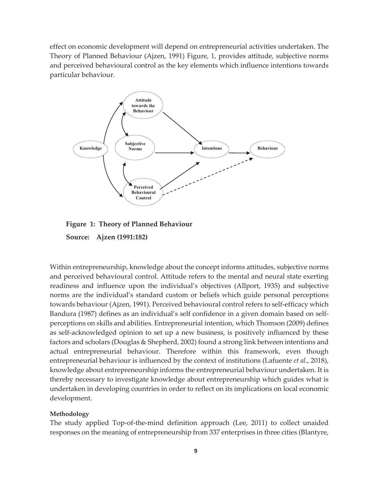effect on economic development will depend on entrepreneurial activities undertaken. The Theory of Planned Behaviour (Ajzen, 1991) Figure, 1, provides attitude, subjective norms and perceived behavioural control as the key elements which influence intentions towards particular behaviour.





Within entrepreneurship, knowledge about the concept informs attitudes, subjective norms and perceived behavioural control. Attitude refers to the mental and neural state exerting readiness and influence upon the individual's objectives (Allport, 1935) and subjective norms are the individual's standard custom or beliefs which guide personal perceptions towards behaviour (Ajzen, 1991). Perceived behavioural control refers to self-efficacy which Bandura (1987) defines as an individual's self confidence in a given domain based on selfperceptions on skills and abilities. Entrepreneurial intention, which Thomson (2009) defines as self-acknowledged opinion to set up a new business, is positively influenced by these factors and scholars (Douglas & Shepherd, 2002) found a strong link between intentions and actual entrepreneurial behaviour. Therefore within this framework, even though entrepreneurial behaviour is influenced by the context of institutions (Lafuente *et al*., 2018), knowledge about entrepreneurship informs the entrepreneurial behaviour undertaken. It is thereby necessary to investigate knowledge about entrepreneurship which guides what is undertaken in developing countries in order to reflect on its implications on local economic development.

# **Methodology**

The study applied Top-of-the-mind definition approach (Lee, 2011) to collect unaided responses on the meaning of entrepreneurship from 337 enterprises in three cities (Blantyre,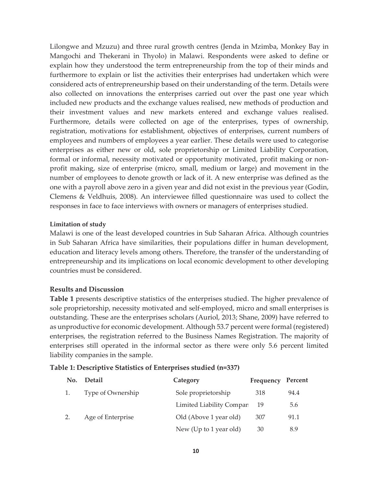Lilongwe and Mzuzu) and three rural growth centres (Jenda in Mzimba, Monkey Bay in Mangochi and Thekerani in Thyolo) in Malawi. Respondents were asked to define or explain how they understood the term entrepreneurship from the top of their minds and furthermore to explain or list the activities their enterprises had undertaken which were considered acts of entrepreneurship based on their understanding of the term. Details were also collected on innovations the enterprises carried out over the past one year which included new products and the exchange values realised, new methods of production and their investment values and new markets entered and exchange values realised. Furthermore, details were collected on age of the enterprises, types of ownership, registration, motivations for establishment, objectives of enterprises, current numbers of employees and numbers of employees a year earlier. These details were used to categorise enterprises as either new or old, sole proprietorship or Limited Liability Corporation, formal or informal, necessity motivated or opportunity motivated, profit making or nonprofit making, size of enterprise (micro, small, medium or large) and movement in the number of employees to denote growth or lack of it. A new enterprise was defined as the one with a payroll above zero in a given year and did not exist in the previous year (Godin, Clemens & Veldhuis, 2008). An interviewee filled questionnaire was used to collect the responses in face to face interviews with owners or managers of enterprises studied.

# **Limitation of study**

Malawi is one of the least developed countries in Sub Saharan Africa. Although countries in Sub Saharan Africa have similarities, their populations differ in human development, education and literacy levels among others. Therefore, the transfer of the understanding of entrepreneurship and its implications on local economic development to other developing countries must be considered.

# **Results and Discussion**

**Table 1** presents descriptive statistics of the enterprises studied. The higher prevalence of sole proprietorship, necessity motivated and self-employed, micro and small enterprises is outstanding. These are the enterprises scholars (Auriol, 2013; Shane, 2009) have referred to as unproductive for economic development. Although 53.7 percent were formal (registered) enterprises, the registration referred to the Business Names Registration. The majority of enterprises still operated in the informal sector as there were only 5.6 percent limited liability companies in the sample.

# **Table 1: Descriptive Statistics of Enterprises studied (n=337)**

| No. | <b>Detail</b>     | Category                 | Frequency Percent |      |
|-----|-------------------|--------------------------|-------------------|------|
|     | Type of Ownership | Sole proprietorship      | 318               | 94.4 |
|     |                   | Limited Liability Compar | -19               | 5.6  |
| 2.  | Age of Enterprise | Old (Above 1 year old)   | 307               | 91.1 |
|     |                   | New (Up to 1 year old)   | 30                | 8.9  |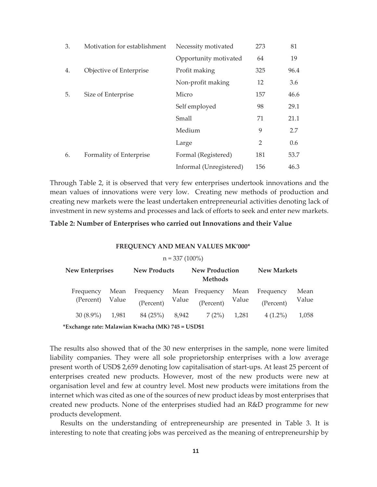| 3. | Motivation for establishment<br>Necessity motivated |                         | 273 | 81   |
|----|-----------------------------------------------------|-------------------------|-----|------|
|    |                                                     | Opportunity motivated   | 64  | 19   |
| 4. | Objective of Enterprise                             | Profit making           | 325 | 96.4 |
|    |                                                     | Non-profit making       | 12  | 3.6  |
| 5. | Size of Enterprise                                  | Micro                   | 157 | 46.6 |
|    |                                                     | Self employed           | 98  | 29.1 |
|    |                                                     | Small                   | 71  | 21.1 |
|    |                                                     | Medium                  | 9   | 2.7  |
|    |                                                     | Large                   | 2   | 0.6  |
| 6. | Formality of Enterprise                             | Formal (Registered)     | 181 | 53.7 |
|    |                                                     | Informal (Unregistered) | 156 | 46.3 |

Through Table 2, it is observed that very few enterprises undertook innovations and the mean values of innovations were very low. Creating new methods of production and creating new markets were the least undertaken entrepreneurial activities denoting lack of investment in new systems and processes and lack of efforts to seek and enter new markets.

### **Table 2: Number of Enterprises who carried out Innovations and their Value**

#### **FREQUENCY AND MEAN VALUES MK'000\***

#### $n = 337 (100\%)$

| <b>New Enterprises</b>       |      | <b>New Products</b> |  | <b>New Production</b><br><b>Methods</b>                | <b>New Markets</b> |                        |               |
|------------------------------|------|---------------------|--|--------------------------------------------------------|--------------------|------------------------|---------------|
| Frequency<br>(Percent) Value | Mean | Frequency           |  | Mean Frequency Mean<br>(Percent) Value (Percent) Value |                    | Frequency<br>(Percent) | Mean<br>Value |
| $30(8.9\%)$ 1,981            |      | 84 (25%) 8,942      |  | 7(2%)                                                  | 1,281              | $4(1.2\%)$             | 1,058         |

**\*Exchange rate: Malawian Kwacha (MK) 745 = USD\$1** 

The results also showed that of the 30 new enterprises in the sample, none were limited liability companies. They were all sole proprietorship enterprises with a low average present worth of USD\$ 2,659 denoting low capitalisation of start-ups. At least 25 percent of enterprises created new products. However, most of the new products were new at organisation level and few at country level. Most new products were imitations from the internet which was cited as one of the sources of new product ideas by most enterprises that created new products. None of the enterprises studied had an R&D programme for new products development.

Results on the understanding of entrepreneurship are presented in Table 3. It is interesting to note that creating jobs was perceived as the meaning of entrepreneurship by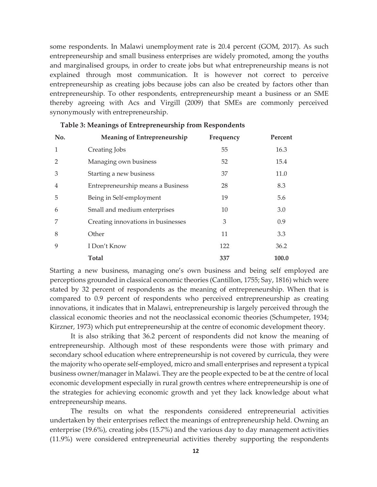some respondents. In Malawi unemployment rate is 20.4 percent (GOM, 2017). As such entrepreneurship and small business enterprises are widely promoted, among the youths and marginalised groups, in order to create jobs but what entrepreneurship means is not explained through most communication. It is however not correct to perceive entrepreneurship as creating jobs because jobs can also be created by factors other than entrepreneurship. To other respondents, entrepreneurship meant a business or an SME thereby agreeing with Acs and Virgill (2009) that SMEs are commonly perceived synonymously with entrepreneurship.

| No.            | <b>Meaning of Entrepreneurship</b> | Frequency | Percent |
|----------------|------------------------------------|-----------|---------|
| $\mathbf{1}$   | Creating Jobs                      | 55        | 16.3    |
| $\overline{2}$ | Managing own business              | 52        | 15.4    |
| 3              | Starting a new business            | 37        | 11.0    |
| $\overline{4}$ | Entrepreneurship means a Business  | 28        | 8.3     |
| 5              | Being in Self-employment           | 19        | 5.6     |
| 6              | Small and medium enterprises       | 10        | 3.0     |
| 7              | Creating innovations in businesses | 3         | 0.9     |
| 8              | Other                              | 11        | 3.3     |
| 9              | I Don't Know                       | 122       | 36.2    |
|                | <b>Total</b>                       | 337       | 100.0   |

| Table 3: Meanings of Entrepreneurship from Respondents |  |  |  |
|--------------------------------------------------------|--|--|--|
|--------------------------------------------------------|--|--|--|

Starting a new business, managing one's own business and being self employed are perceptions grounded in classical economic theories (Cantillon, 1755; Say, 1816) which were stated by 32 percent of respondents as the meaning of entrepreneurship. When that is compared to 0.9 percent of respondents who perceived entrepreneurship as creating innovations, it indicates that in Malawi, entrepreneurship is largely perceived through the classical economic theories and not the neoclassical economic theories (Schumpeter, 1934; Kirzner, 1973) which put entrepreneurship at the centre of economic development theory.

It is also striking that 36.2 percent of respondents did not know the meaning of entrepreneurship. Although most of these respondents were those with primary and secondary school education where entrepreneurship is not covered by curricula, they were the majority who operate self-employed, micro and small enterprises and represent a typical business owner/manager in Malawi. They are the people expected to be at the centre of local economic development especially in rural growth centres where entrepreneurship is one of the strategies for achieving economic growth and yet they lack knowledge about what entrepreneurship means.

The results on what the respondents considered entrepreneurial activities undertaken by their enterprises reflect the meanings of entrepreneurship held. Owning an enterprise (19.6%), creating jobs (15.7%) and the various day to day management activities (11.9%) were considered entrepreneurial activities thereby supporting the respondents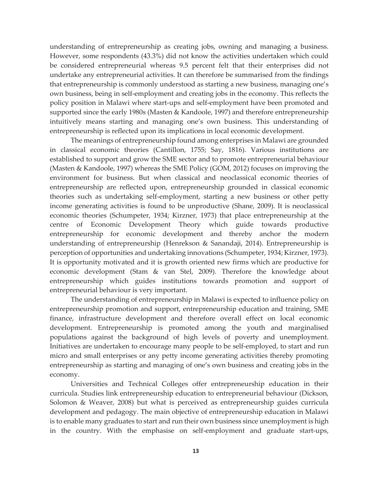understanding of entrepreneurship as creating jobs, owning and managing a business. However, some respondents (43.3%) did not know the activities undertaken which could be considered entrepreneurial whereas 9.5 percent felt that their enterprises did not undertake any entrepreneurial activities. It can therefore be summarised from the findings that entrepreneurship is commonly understood as starting a new business, managing one's own business, being in self-employment and creating jobs in the economy. This reflects the policy position in Malawi where start-ups and self-employment have been promoted and supported since the early 1980s (Masten & Kandoole, 1997) and therefore entrepreneurship intuitively means starting and managing one's own business. This understanding of entrepreneurship is reflected upon its implications in local economic development.

The meanings of entrepreneurship found among enterprises in Malawi are grounded in classical economic theories (Cantillon, 1755; Say, 1816). Various institutions are established to support and grow the SME sector and to promote entrepreneurial behaviour (Masten & Kandoole, 1997) whereas the SME Policy (GOM, 2012) focuses on improving the environment for business. But when classical and neoclassical economic theories of entrepreneurship are reflected upon, entrepreneurship grounded in classical economic theories such as undertaking self-employment, starting a new business or other petty income generating activities is found to be unproductive (Shane, 2009). It is neoclassical economic theories (Schumpeter, 1934; Kirzner, 1973) that place entrepreneurship at the centre of Economic Development Theory which guide towards productive entrepreneurship for economic development and thereby anchor the modern understanding of entrepreneurship (Henrekson & Sanandaji, 2014). Entrepreneurship is perception of opportunities and undertaking innovations (Schumpeter, 1934; Kirzner, 1973). It is opportunity motivated and it is growth oriented new firms which are productive for economic development (Stam & van Stel, 2009). Therefore the knowledge about entrepreneurship which guides institutions towards promotion and support of entrepreneurial behaviour is very important.

The understanding of entrepreneurship in Malawi is expected to influence policy on entrepreneurship promotion and support, entrepreneurship education and training, SME finance, infrastructure development and therefore overall effect on local economic development. Entrepreneurship is promoted among the youth and marginalised populations against the background of high levels of poverty and unemployment. Initiatives are undertaken to encourage many people to be self-employed, to start and run micro and small enterprises or any petty income generating activities thereby promoting entrepreneurship as starting and managing of one's own business and creating jobs in the economy.

Universities and Technical Colleges offer entrepreneurship education in their curricula. Studies link entrepreneurship education to entrepreneurial behaviour (Dickson, Solomon & Weaver, 2008) but what is perceived as entrepreneurship guides curricula development and pedagogy. The main objective of entrepreneurship education in Malawi is to enable many graduates to start and run their own business since unemployment is high in the country. With the emphasise on self-employment and graduate start-ups,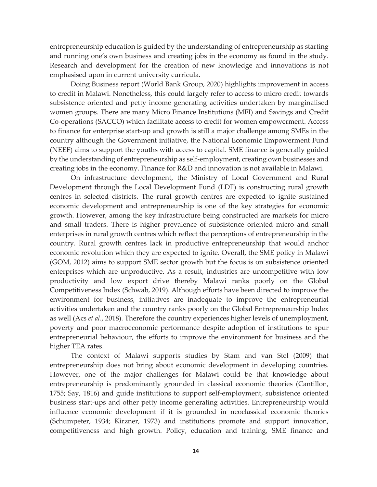entrepreneurship education is guided by the understanding of entrepreneurship as starting and running one's own business and creating jobs in the economy as found in the study. Research and development for the creation of new knowledge and innovations is not emphasised upon in current university curricula.

Doing Business report (World Bank Group, 2020) highlights improvement in access to credit in Malawi. Nonetheless, this could largely refer to access to micro credit towards subsistence oriented and petty income generating activities undertaken by marginalised women groups. There are many Micro Finance Institutions (MFI) and Savings and Credit Co-operations (SACCO) which facilitate access to credit for women empowerment. Access to finance for enterprise start-up and growth is still a major challenge among SMEs in the country although the Government initiative, the National Economic Empowerment Fund (NEEF) aims to support the youths with access to capital. SME finance is generally guided by the understanding of entrepreneurship as self-employment, creating own businesses and creating jobs in the economy. Finance for R&D and innovation is not available in Malawi.

On infrastructure development, the Ministry of Local Government and Rural Development through the Local Development Fund (LDF) is constructing rural growth centres in selected districts. The rural growth centres are expected to ignite sustained economic development and entrepreneurship is one of the key strategies for economic growth. However, among the key infrastructure being constructed are markets for micro and small traders. There is higher prevalence of subsistence oriented micro and small enterprises in rural growth centres which reflect the perceptions of entrepreneurship in the country. Rural growth centres lack in productive entrepreneurship that would anchor economic revolution which they are expected to ignite. Overall, the SME policy in Malawi (GOM, 2012) aims to support SME sector growth but the focus is on subsistence oriented enterprises which are unproductive. As a result, industries are uncompetitive with low productivity and low export drive thereby Malawi ranks poorly on the Global Competitiveness Index (Schwab, 2019). Although efforts have been directed to improve the environment for business, initiatives are inadequate to improve the entrepreneurial activities undertaken and the country ranks poorly on the Global Entrepreneurship Index as well (Acs *et al*., 2018). Therefore the country experiences higher levels of unemployment, poverty and poor macroeconomic performance despite adoption of institutions to spur entrepreneurial behaviour, the efforts to improve the environment for business and the higher TEA rates.

The context of Malawi supports studies by Stam and van Stel (2009) that entrepreneurship does not bring about economic development in developing countries. However, one of the major challenges for Malawi could be that knowledge about entrepreneurship is predominantly grounded in classical economic theories (Cantillon, 1755; Say, 1816) and guide institutions to support self-employment, subsistence oriented business start-ups and other petty income generating activities. Entrepreneurship would influence economic development if it is grounded in neoclassical economic theories (Schumpeter, 1934; Kirzner, 1973) and institutions promote and support innovation, competitiveness and high growth. Policy, education and training, SME finance and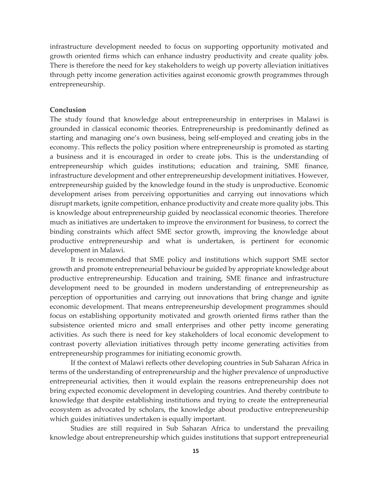infrastructure development needed to focus on supporting opportunity motivated and growth oriented firms which can enhance industry productivity and create quality jobs. There is therefore the need for key stakeholders to weigh up poverty alleviation initiatives through petty income generation activities against economic growth programmes through entrepreneurship.

## **Conclusion**

The study found that knowledge about entrepreneurship in enterprises in Malawi is grounded in classical economic theories. Entrepreneurship is predominantly defined as starting and managing one's own business, being self-employed and creating jobs in the economy. This reflects the policy position where entrepreneurship is promoted as starting a business and it is encouraged in order to create jobs. This is the understanding of entrepreneurship which guides institutions; education and training, SME finance, infrastructure development and other entrepreneurship development initiatives. However, entrepreneurship guided by the knowledge found in the study is unproductive. Economic development arises from perceiving opportunities and carrying out innovations which disrupt markets, ignite competition, enhance productivity and create more quality jobs. This is knowledge about entrepreneurship guided by neoclassical economic theories. Therefore much as initiatives are undertaken to improve the environment for business, to correct the binding constraints which affect SME sector growth, improving the knowledge about productive entrepreneurship and what is undertaken, is pertinent for economic development in Malawi.

It is recommended that SME policy and institutions which support SME sector growth and promote entrepreneurial behaviour be guided by appropriate knowledge about productive entrepreneurship. Education and training, SME finance and infrastructure development need to be grounded in modern understanding of entrepreneurship as perception of opportunities and carrying out innovations that bring change and ignite economic development. That means entrepreneurship development programmes should focus on establishing opportunity motivated and growth oriented firms rather than the subsistence oriented micro and small enterprises and other petty income generating activities. As such there is need for key stakeholders of local economic development to contrast poverty alleviation initiatives through petty income generating activities from entrepreneurship programmes for initiating economic growth.

If the context of Malawi reflects other developing countries in Sub Saharan Africa in terms of the understanding of entrepreneurship and the higher prevalence of unproductive entrepreneurial activities, then it would explain the reasons entrepreneurship does not bring expected economic development in developing countries. And thereby contribute to knowledge that despite establishing institutions and trying to create the entrepreneurial ecosystem as advocated by scholars, the knowledge about productive entrepreneurship which guides initiatives undertaken is equally important.

Studies are still required in Sub Saharan Africa to understand the prevailing knowledge about entrepreneurship which guides institutions that support entrepreneurial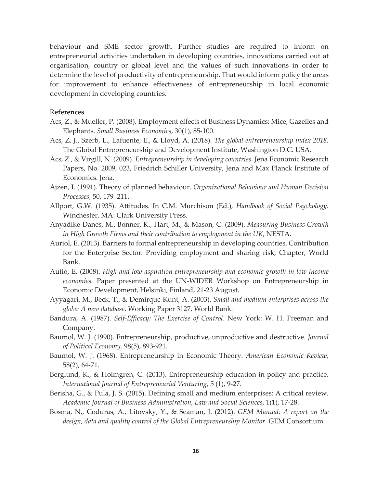behaviour and SME sector growth. Further studies are required to inform on entrepreneurial activities undertaken in developing countries, innovations carried out at organisation, country or global level and the values of such innovations in order to determine the level of productivity of entrepreneurship. That would inform policy the areas for improvement to enhance effectiveness of entrepreneurship in local economic development in developing countries.

## R**eferences**

- Acs, Z., & Mueller, P. (2008). Employment effects of Business Dynamics: Mice, Gazelles and Elephants. *Small Business Economics*, 30(1), 85-100.
- Acs, Z. J., Szerb, L., Lafuente, E., & Lloyd, A. (2018). *The global entrepreneurship index 2018.* The Global Entrepreneurship and Development Institute, Washington D.C. USA.
- Acs, Z., & Virgill, N. (2009). *Entrepreneurship in developing countries*. Jena Economic Research Papers, No. 2009, 023, Friedrich Schiller University, Jena and Max Planck Institute of Economics. Jena.
- Ajzen, I. (1991). Theory of planned behaviour. *Organizational Behaviour and Human Decision Processes,* 50, 179–211.
- Allport, G.W. (1935). Attitudes. In C.M. Murchison (Ed.), *Handbook of Social Psychology.* Winchester, MA: Clark University Press.
- Anyadike-Danes, M., Bonner, K., Hart, M., & Mason, C. (2009). *Measuring Business Growth in High Growth Firms and their contribution to employment in the UK*, NESTA.
- Auriol, E. (2013). Barriers to formal entrepreneurship in developing countries. Contribution for the Enterprise Sector: Providing employment and sharing risk, Chapter, World Bank.
- Autio, E. (2008). *High and low aspiration entrepreneurship and economic growth in low income economies.* Paper presented at the UN-WIDER Workshop on Entrepreneurship in Economic Development, Helsinki, Finland, 21-23 August.
- Ayyagari, M., Beck, T., & Demirquc-Kunt, A. (2003). *Small and medium enterprises across the globe: A new database*. Working Paper 3127, World Bank.
- Bandura, A. (1987). *Self-Efficacy: The Exercise of Control*. New York: W. H. Freeman and Company.
- Baumol, W. J. (1990). Entrepreneurship, productive, unproductive and destructive. *Journal of Political Economy,* 98(5), 893-921.
- Baumol, W. J. (1968). Entrepreneurship in Economic Theory. *American Economic Review*, 58(2), 64-71.
- Berglund, K., & Holmgren, C. (2013). Entrepreneurship education in policy and practice. *International Journal of Entrepreneurial Venturing*, 5 (1), 9-27.
- Berisha, G., & Pula, J. S. (2015). Defining small and medium enterprises: A critical review. *Academic Journal of Business Administration, Law and Social Sciences*, 1(1), 17-28.
- Bosma, N., Coduras, A., Litovsky, Y., & Seaman, J. (2012). *GEM Manual: A report on the design, data and quality control of the Global Entrepreneurship Monitor.* GEM Consortium.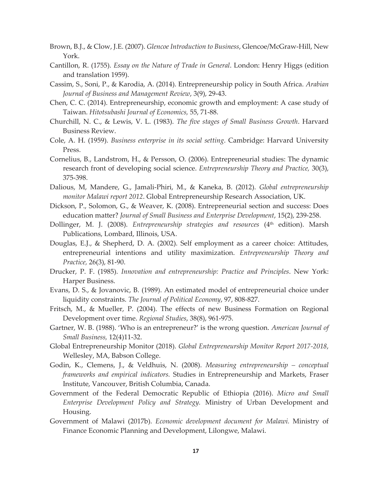- Brown, B.J., & Clow, J.E. (2007). *Glencoe Introduction to Business*, Glencoe/McGraw-Hill, New York.
- Cantillon, R. (1755). *Essay on the Nature of Trade in General*. London: Henry Higgs (edition and translation 1959).
- Cassim, S., Soni, P., & Karodia, A. (2014). Entrepreneurship policy in South Africa. *Arabian Journal of Business and Management Review*, 3(9), 29-43.
- Chen, C. C. (2014). Entrepreneurship, economic growth and employment: A case study of Taiwan. *Hitotsubashi Journal of Economics,* 55, 71-88.
- Churchill, N. C., & Lewis, V. L. (1983). *The five stages of Small Business Growth*. Harvard Business Review.
- Cole, A. H. (1959). *Business enterprise in its social setting*. Cambridge: Harvard University Press.
- Cornelius, B., Landstrom, H., & Persson, O. (2006). Entrepreneurial studies: The dynamic research front of developing social science. *Entrepreneurship Theory and Practice,* 30(3), 375-398.
- Dalious, M, Mandere, G., Jamali-Phiri, M., & Kaneka, B. (2012). *Global entrepreneurship monitor Malawi report 2012*. Global Entrepreneurship Research Association, UK.
- Dickson, P., Solomon, G., & Weaver, K. (2008). Entrepreneurial section and success: Does education matter? *Journal of Small Business and Enterprise Development*, 15(2), 239-258.
- Dollinger, M. J. (2008). *Entrepreneurship strategies and resources* (4<sup>th</sup> edition). Marsh Publications, Lombard, Illinois, USA.
- Douglas, E.J., & Shepherd, D. A. (2002). Self employment as a career choice: Attitudes, entrepreneurial intentions and utility maximization. *Entrepreneurship Theory and Practice,* 26(3), 81-90.
- Drucker, P. F. (1985). *Innovation and entrepreneurship: Practice and Principles*. New York: Harper Business.
- Evans, D. S., & Jovanovic, B. (1989). An estimated model of entrepreneurial choice under liquidity constraints. *The Journal of Political Economy*, 97, 808-827.
- Fritsch, M., & Mueller, P. (2004). The effects of new Business Formation on Regional Development over time. *Regional Studies*, 38(8), 961-975.
- Gartner, W. B. (1988). 'Who is an entrepreneur?' is the wrong question. *American Journal of Small Business,* 12(4)11-32.
- Global Entrepreneurship Monitor (2018). *Global Entrepreneurship Monitor Report 2017-2018*, Wellesley, MA, Babson College.
- Godin, K., Clemens, J., & Veldhuis, N. (2008). *Measuring entrepreneurship conceptual frameworks and empirical indicators.* Studies in Entrepreneurship and Markets, Fraser Institute, Vancouver, British Columbia, Canada.
- Government of the Federal Democratic Republic of Ethiopia (2016). *Micro and Small Enterprise Development Policy and Strategy.* Ministry of Urban Development and Housing.
- Government of Malawi (2017b). *Economic development document for Malawi.* Ministry of Finance Economic Planning and Development, Lilongwe, Malawi.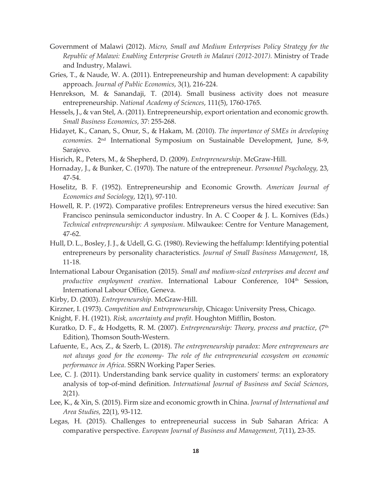- Government of Malawi (2012). *Micro, Small and Medium Enterprises Policy Strategy for the Republic of Malawi: Enabling Enterprise Growth in Malawi (2012-2017).* Ministry of Trade and Industry, Malawi.
- Gries, T., & Naude, W. A. (2011). Entrepreneurship and human development: A capability approach. *Journal of Public Economics*, 3(1), 216-224.
- Henrekson, M. & Sanandaji, T. (2014). Small business activity does not measure entrepreneurship. *National Academy of Sciences*, 111(5), 1760-1765.
- Hessels, J., & van Stel, A. (2011). Entrepreneurship, export orientation and economic growth. *Small Business Economics*, 37: 255-268.
- Hidayet, K., Canan, S., Onur, S., & Hakam, M. (2010). *The importance of SMEs in developing economies.* 2nd International Symposium on Sustainable Development, June, 8-9, Sarajevo.
- Hisrich, R., Peters, M., & Shepherd, D. (2009). *Entrepreneurship*. McGraw-Hill.
- Hornaday, J., & Bunker, C. (1970). The nature of the entrepreneur. *Personnel Psychology,* 23, 47-54.
- Hoselitz, B. F. (1952). Entrepreneurship and Economic Growth. *American Journal of Economics and Sociology*, 12(1), 97-110.
- Howell, R. P. (1972). Comparative profiles: Entrepreneurs versus the hired executive: San Francisco peninsula semiconductor industry. In A. C Cooper & J. L. Kornives (Eds.) *Technical entrepreneurship: A symposium*. Milwaukee: Centre for Venture Management, 47-62.
- Hull, D. L., Bosley, J. J., & Udell, G. G. (1980). Reviewing the heffalump: Identifying potential entrepreneurs by personality characteristics. *Journal of Small Business Management*, 18, 11-18.
- International Labour Organisation (2015). *Small and medium-sized enterprises and decent and productive employment creation*. International Labour Conference, 104<sup>th</sup> Session, International Labour Office, Geneva.
- Kirby, D. (2003). *Entrepreneurship.* McGraw-Hill.
- Kirzner, I. (1973). *Competition and Entrepreneurship*, Chicago: University Press, Chicago.
- Knight, F. H. (1921). *Risk, uncertainty and profit.* Houghton Mifflin, Boston.
- Kuratko, D. F., & Hodgetts, R. M. (2007). *Entrepreneurship: Theory, process and practice*, (7<sup>th</sup> Edition), Thomson South-Western.
- Lafuente, E., Acs, Z., & Szerb, L. (2018). *The entrepreneurship paradox: More entrepreneurs are not always good for the economy- The role of the entrepreneurial ecosystem on economic performance in Africa*. SSRN Working Paper Series.
- Lee, C. J. (2011). Understanding bank service quality in customers' terms: an exploratory analysis of top-of-mind definition. *International Journal of Business and Social Sciences*, 2(21).
- Lee, K., & Xin, S. (2015). Firm size and economic growth in China. *Journal of International and Area Studies,* 22(1), 93-112.
- Legas, H. (2015). Challenges to entrepreneurial success in Sub Saharan Africa: A comparative perspective. *European Journal of Business and Management,* 7(11), 23-35.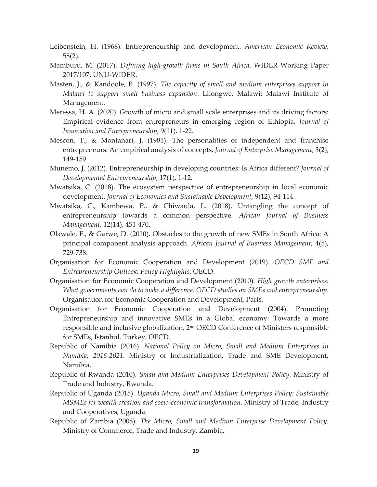- Leibenstein, H. (1968). Entrepreneurship and development. *American Economic Review*, 58(2).
- Mamburu, M. (2017). *Defining high-growth firms in South Africa*. WIDER Working Paper 2017/107, UNU-WIDER.
- Masten, J., & Kandoole, B. (1997). *The capacity of small and medium enterprises support in Malawi to support small business expansion*. Lilongwe, Malawi: Malawi Institute of Management.
- Meressa, H. A. (2020). Growth of micro and small scale enterprises and its driving factors: Empirical evidence from entrepreneurs in emerging region of Ethiopia. *Journal of Innovation and Entrepreneurship*, 9(11), 1-22.
- Mescon,  $T_{\nu}$ , & Montanari, J. (1981). The personalities of independent and franchise entrepreneurs: An empirical analysis of concepts. *Journal of Enterprise Management*, 3(2), 149-159.
- Munemo, J. (2012). Entrepreneurship in developing countries: Is Africa different? *Journal of Developmental Entrepreneurship*, 17(1), 1-12.
- Mwatsika, C. (2018). The ecosystem perspective of entrepreneurship in local economic development. *Journal of Economics and Sustainable Development,* 9(12), 94-114.
- Mwatsika, C., Kambewa, P., & Chiwaula, L. (2018). Untangling the concept of entrepreneurship towards a common perspective. *African Journal of Business Management*, 12(14), 451-470.
- Olawale, F., & Garwe, D. (2010). Obstacles to the growth of new SMEs in South Africa: A principal component analysis approach. *African Journal of Business Management*, 4(5), 729-738.
- Organisation for Economic Cooperation and Development (2019). *OECD SME and Entrepreneurship Outlook: Policy Highlights.* OECD.
- Organisation for Economic Cooperation and Development (2010). *High growth enterprises: What governments can do to make a difference, OECD studies on SMEs and entrepreneurship*. Organisation for Economic Cooperation and Development, Paris.
- Organisation for Economic Cooperation and Development (2004). Promoting Entrepreneurship and innovative SMEs in a Global economy: Towards a more responsible and inclusive globalization, 2nd OECD Conference of Ministers responsible for SMEs, Istanbul, Turkey, OECD.
- Republic of Namibia (2016). *National Policy on Micro, Small and Medium Enterprises in Namibia, 2016-2021*. Ministry of Industrialization, Trade and SME Development, Namibia.
- Republic of Rwanda (2010). *Small and Medium Enterprises Development Policy*. Ministry of Trade and Industry, Rwanda.
- Republic of Uganda (2015). *Uganda Micro, Small and Medium Enterprises Policy: Sustainable MSMEs for wealth creation and socio-economic transformation*. Ministry of Trade, Industry and Cooperatives, Uganda.
- Republic of Zambia (2008). *The Micro, Small and Medium Enterprise Development Policy.*  Ministry of Commerce, Trade and Industry, Zambia.